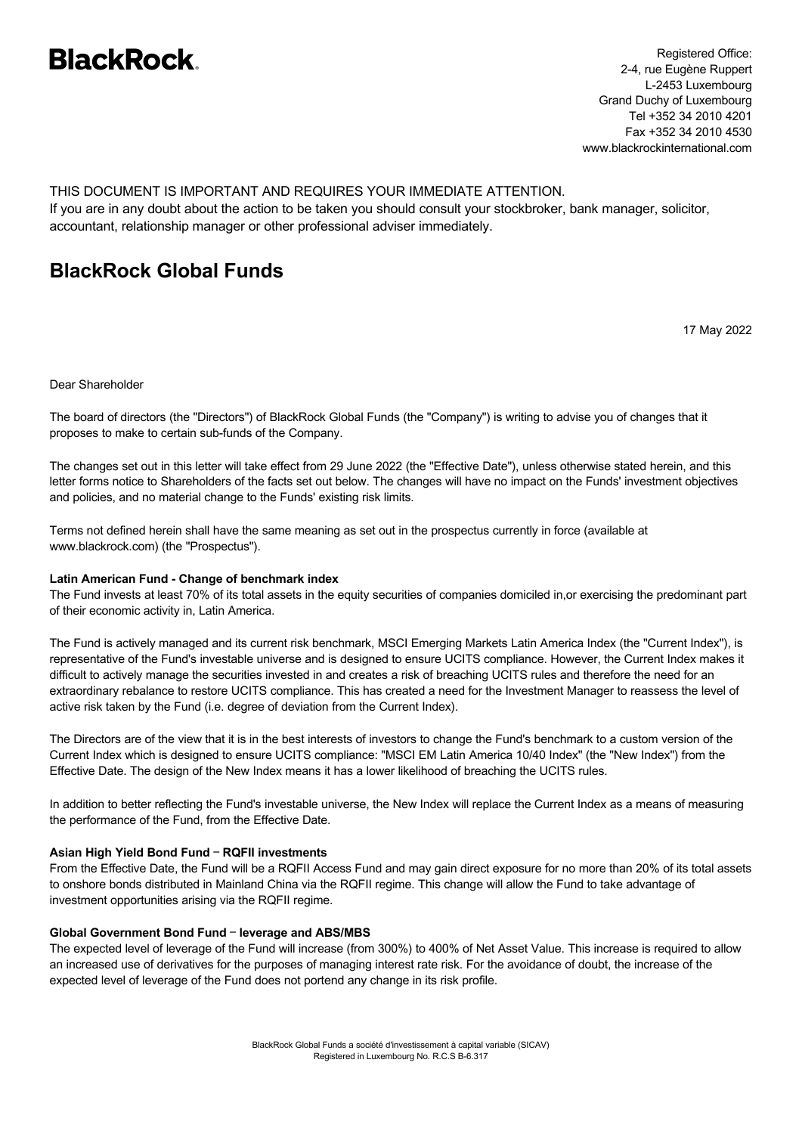# **BlackRock**

Registered Office: 2-4, rue Eugène Ruppert L-2453 Luxembourg Grand Duchy of Luxembourg Tel +352 34 2010 4201 Fax +352 34 2010 4530 www.blackrockinternational.com

THIS DOCUMENT IS IMPORTANT AND REQUIRES YOUR IMMEDIATE ATTENTION. If you are in any doubt about the action to be taken you should consult your stockbroker, bank manager, solicitor, accountant, relationship manager or other professional adviser immediately.

# **BlackRock Global Funds**

17 May 2022

Dear Shareholder

The board of directors (the "Directors") of BlackRock Global Funds (the "Company") is writing to advise you of changes that it proposes to make to certain sub-funds of the Company.

The changes set out in this letter will take effect from 29 June 2022 (the "Effective Date"), unless otherwise stated herein, and this letter forms notice to Shareholders of the facts set out below. The changes will have no impact on the Funds' investment objectives and policies, and no material change to the Funds' existing risk limits.

Terms not defined herein shall have the same meaning as set out in the prospectus currently in force (available at www.blackrock.com) (the "Prospectus").

# **Latin American Fund - Change of benchmark index**

The Fund invests at least 70% of its total assets in the equity securities of companies domiciled in,or exercising the predominant part of their economic activity in, Latin America.

The Fund is actively managed and its current risk benchmark, MSCI Emerging Markets Latin America Index (the "Current Index"), is representative of the Fund's investable universe and is designed to ensure UCITS compliance. However, the Current Index makes it difficult to actively manage the securities invested in and creates a risk of breaching UCITS rules and therefore the need for an extraordinary rebalance to restore UCITS compliance. This has created a need for the Investment Manager to reassess the level of active risk taken by the Fund (i.e. degree of deviation from the Current Index).

The Directors are of the view that it is in the best interests of investors to change the Fund's benchmark to a custom version of the Current Index which is designed to ensure UCITS compliance: "MSCI EM Latin America 10/40 Index" (the "New Index") from the Effective Date. The design of the New Index means it has a lower likelihood of breaching the UCITS rules.

In addition to better reflecting the Fund's investable universe, the New Index will replace the Current Index as a means of measuring the performance of the Fund, from the Effective Date.

# **Asian High Yield Bond Fund** – **RQFII investments**

From the Effective Date, the Fund will be a RQFII Access Fund and may gain direct exposure for no more than 20% of its total assets to onshore bonds distributed in Mainland China via the RQFII regime. This change will allow the Fund to take advantage of investment opportunities arising via the RQFII regime.

# **Global Government Bond Fund** – **leverage and ABS/MBS**

The expected level of leverage of the Fund will increase (from 300%) to 400% of Net Asset Value. This increase is required to allow an increased use of derivatives for the purposes of managing interest rate risk. For the avoidance of doubt, the increase of the expected level of leverage of the Fund does not portend any change in its risk profile.